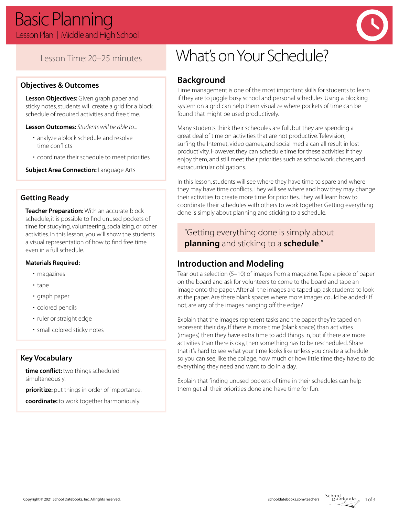

## Lesson Time: 20–25 minutes

#### **Objectives & Outcomes**

**Lesson Objectives:** Given graph paper and sticky notes, students will create a grid for a block schedule of required activities and free time.

**Lesson Outcomes:** *Students will be able to...*

- analyze a block schedule and resolve time conflicts
- coordinate their schedule to meet priorities

**Subject Area Connection: Language Arts** 

#### **Getting Ready**

**Teacher Preparation:** With an accurate block schedule, it is possible to find unused pockets of time for studying, volunteering, socializing, or other activities. In this lesson, you will show the students a visual representation of how to find free time even in a full schedule.

#### **Materials Required:**

- magazines
- tape
- graph paper
- colored pencils
- ruler or straight edge
- small colored sticky notes

#### **Key Vocabulary**

**time conflict:** two things scheduled simultaneously.

**prioritize:** put things in order of importance.

**coordinate:** to work together harmoniously.

# What's on Your Schedule?

## **Background**

Time management is one of the most important skills for students to learn if they are to juggle busy school and personal schedules. Using a blocking system on a grid can help them visualize where pockets of time can be found that might be used productively.

Many students think their schedules are full, but they are spending a great deal of time on activities that are not productive. Television, surfing the Internet, video games, and social media can all result in lost productivity. However, they can schedule time for these activities if they enjoy them, and still meet their priorities such as schoolwork, chores, and extracurricular obligations.

In this lesson, students will see where they have time to spare and where they may have time conflicts. They will see where and how they may change their activities to create more time for priorities. They will learn how to coordinate their schedules with others to work together. Getting everything done is simply about planning and sticking to a schedule.

## "Getting everything done is simply about **planning** and sticking to a **schedule**."

## **Introduction and Modeling**

Tear out a selection (5–10) of images from a magazine. Tape a piece of paper on the board and ask for volunteers to come to the board and tape an image onto the paper. After all the images are taped up, ask students to look at the paper. Are there blank spaces where more images could be added? If not, are any of the images hanging off the edge?

Explain that the images represent tasks and the paper they're taped on represent their day. If there is more time (blank space) than activities (images) then they have extra time to add things in, but if there are more activities than there is day, then something has to be rescheduled. Share that it's hard to see what your time looks like unless you create a schedule so you can see, like the collage, how much or how little time they have to do everything they need and want to do in a day.

Explain that finding unused pockets of time in their schedules can help them get all their priorities done and have time for fun.

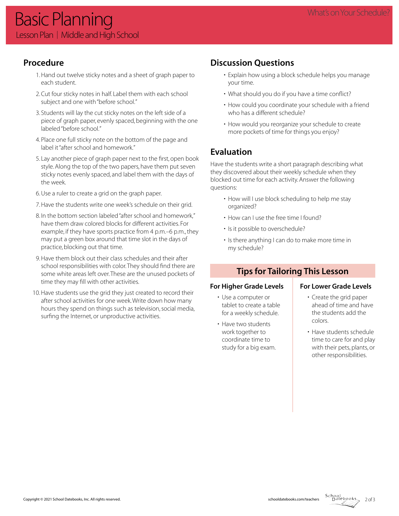## **Procedure**

- 1. Hand out twelve sticky notes and a sheet of graph paper to each student.
- 2. Cut four sticky notes in half. Label them with each school subject and one with "before school."
- 3. Students will lay the cut sticky notes on the left side of a piece of graph paper, evenly spaced, beginning with the one labeled "before school."
- 4. Place one full sticky note on the bottom of the page and label it "after school and homework."
- 5. Lay another piece of graph paper next to the first, open book style. Along the top of the two papers, have them put seven sticky notes evenly spaced, and label them with the days of the week.
- 6. Use a ruler to create a grid on the graph paper.
- 7. Have the students write one week's schedule on their grid.
- 8. In the bottom section labeled "after school and homework," have them draw colored blocks for different activities. For example, if they have sports practice from 4 p.m.–6 p.m., they may put a green box around that time slot in the days of practice, blocking out that time.
- 9. Have them block out their class schedules and their after school responsibilities with color. They should find there are some white areas left over. These are the unused pockets of time they may fill with other activities.
- 10. Have students use the grid they just created to record their after school activities for one week. Write down how many hours they spend on things such as television, social media, surfing the Internet, or unproductive activities.

## **Discussion Questions**

- Explain how using a block schedule helps you manage your time.
- What should you do if you have a time conflict?
- How could you coordinate your schedule with a friend who has a different schedule?
- How would you reorganize your schedule to create more pockets of time for things you enjoy?

## **Evaluation**

Have the students write a short paragraph describing what they discovered about their weekly schedule when they blocked out time for each activity. Answer the following questions:

- How will I use block scheduling to help me stay organized?
- How can I use the free time I found?
- Is it possible to overschedule?
- Is there anything I can do to make more time in my schedule?

## **Tips for Tailoring This Lesson**

#### For Higher Grade Levels **For Lower Grade Levels**

- Use a computer or tablet to create a table for a weekly schedule.
- Have two students work together to coordinate time to study for a big exam.

- Create the grid paper ahead of time and have the students add the colors.
- Have students schedule time to care for and play with their pets, plants, or other responsibilities.



 $2 of 3$